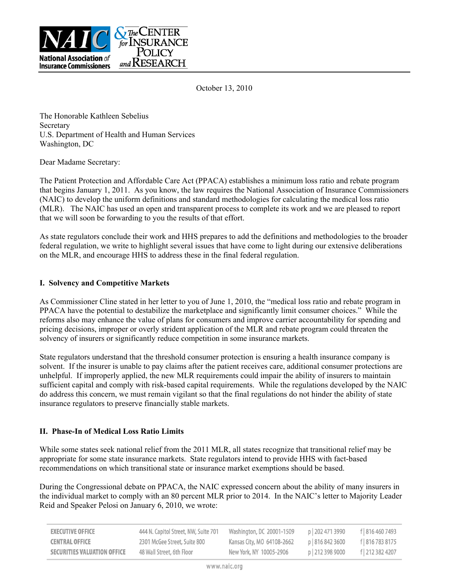

October 13, 2010

The Honorable Kathleen Sebelius **Secretary** U.S. Department of Health and Human Services Washington, DC

Dear Madame Secretary:

The Patient Protection and Affordable Care Act (PPACA) establishes a minimum loss ratio and rebate program that begins January 1, 2011. As you know, the law requires the National Association of Insurance Commissioners (NAIC) to develop the uniform definitions and standard methodologies for calculating the medical loss ratio (MLR). The NAIC has used an open and transparent process to complete its work and we are pleased to report that we will soon be forwarding to you the results of that effort.

As state regulators conclude their work and HHS prepares to add the definitions and methodologies to the broader federal regulation, we write to highlight several issues that have come to light during our extensive deliberations on the MLR, and encourage HHS to address these in the final federal regulation.

## **I. Solvency and Competitive Markets**

As Commissioner Cline stated in her letter to you of June 1, 2010, the "medical loss ratio and rebate program in PPACA have the potential to destabilize the marketplace and significantly limit consumer choices." While the reforms also may enhance the value of plans for consumers and improve carrier accountability for spending and pricing decisions, improper or overly strident application of the MLR and rebate program could threaten the solvency of insurers or significantly reduce competition in some insurance markets.

State regulators understand that the threshold consumer protection is ensuring a health insurance company is solvent. If the insurer is unable to pay claims after the patient receives care, additional consumer protections are unhelpful. If improperly applied, the new MLR requirements could impair the ability of insurers to maintain sufficient capital and comply with risk-based capital requirements. While the regulations developed by the NAIC do address this concern, we must remain vigilant so that the final regulations do not hinder the ability of state insurance regulators to preserve financially stable markets.

## **II. Phase-In of Medical Loss Ratio Limits**

While some states seek national relief from the 2011 MLR, all states recognize that transitional relief may be appropriate for some state insurance markets. State regulators intend to provide HHS with fact-based recommendations on which transitional state or insurance market exemptions should be based.

During the Congressional debate on PPACA, the NAIC expressed concern about the ability of many insurers in the individual market to comply with an 80 percent MLR prior to 2014. In the NAIC's letter to Majority Leader Reid and Speaker Pelosi on January 6, 2010, we wrote:

| <b>EXECUTIVE OFFICE</b>     | 444 N. Capitol Street, NW, Suite 701 | Washington, DC 20001-1509  | p   202 471 3990 | f 816 460 7493   |
|-----------------------------|--------------------------------------|----------------------------|------------------|------------------|
| <b>CENTRAL OFFICE</b>       | 2301 McGee Street, Suite 800         | Kansas City, MO 64108-2662 | p   816 842 3600 | f   816 783 8175 |
| SECURITIES VALUATION OFFICE | 48 Wall Street, 6th Floor            | New York, NY 10005-2906    | p   212 398 9000 | f   212 382 4207 |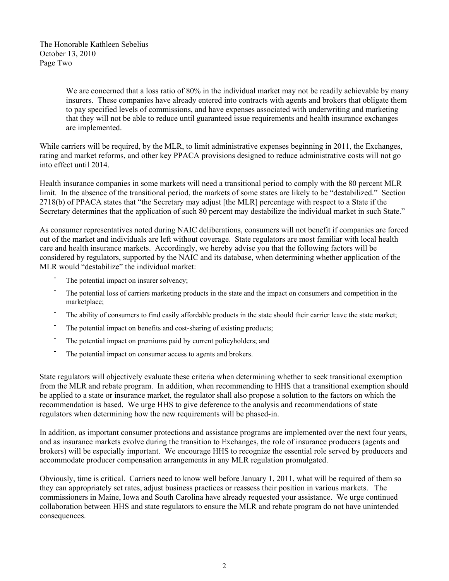The Honorable Kathleen Sebelius October 13, 2010 Page Two

> We are concerned that a loss ratio of 80% in the individual market may not be readily achievable by many insurers. These companies have already entered into contracts with agents and brokers that obligate them to pay specified levels of commissions, and have expenses associated with underwriting and marketing that they will not be able to reduce until guaranteed issue requirements and health insurance exchanges are implemented.

While carriers will be required, by the MLR, to limit administrative expenses beginning in 2011, the Exchanges, rating and market reforms, and other key PPACA provisions designed to reduce administrative costs will not go into effect until 2014.

Health insurance companies in some markets will need a transitional period to comply with the 80 percent MLR limit. In the absence of the transitional period, the markets of some states are likely to be "destabilized." Section 2718(b) of PPACA states that "the Secretary may adjust [the MLR] percentage with respect to a State if the Secretary determines that the application of such 80 percent may destabilize the individual market in such State."

As consumer representatives noted during NAIC deliberations, consumers will not benefit if companies are forced out of the market and individuals are left without coverage. State regulators are most familiar with local health care and health insurance markets. Accordingly, we hereby advise you that the following factors will be considered by regulators, supported by the NAIC and its database, when determining whether application of the MLR would "destabilize" the individual market:

- The potential impact on insurer solvency;
- ¯ The potential loss of carriers marketing products in the state and the impact on consumers and competition in the marketplace;
- The ability of consumers to find easily affordable products in the state should their carrier leave the state market;
- The potential impact on benefits and cost-sharing of existing products;
- ¯ The potential impact on premiums paid by current policyholders; and
- The potential impact on consumer access to agents and brokers.

State regulators will objectively evaluate these criteria when determining whether to seek transitional exemption from the MLR and rebate program. In addition, when recommending to HHS that a transitional exemption should be applied to a state or insurance market, the regulator shall also propose a solution to the factors on which the recommendation is based. We urge HHS to give deference to the analysis and recommendations of state regulators when determining how the new requirements will be phased-in.

In addition, as important consumer protections and assistance programs are implemented over the next four years, and as insurance markets evolve during the transition to Exchanges, the role of insurance producers (agents and brokers) will be especially important. We encourage HHS to recognize the essential role served by producers and accommodate producer compensation arrangements in any MLR regulation promulgated.

Obviously, time is critical. Carriers need to know well before January 1, 2011, what will be required of them so they can appropriately set rates, adjust business practices or reassess their position in various markets. The commissioners in Maine, Iowa and South Carolina have already requested your assistance. We urge continued collaboration between HHS and state regulators to ensure the MLR and rebate program do not have unintended consequences.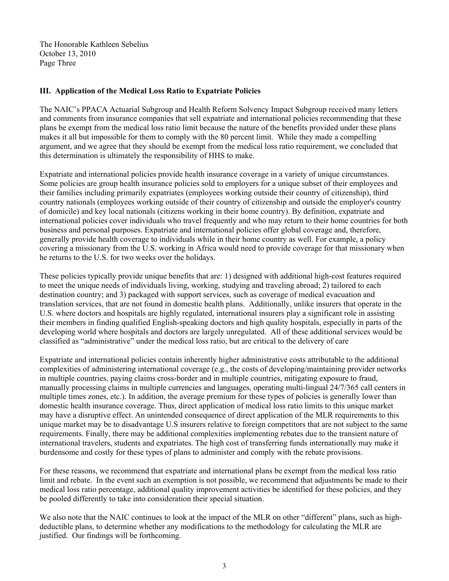The Honorable Kathleen Sebelius October 13, 2010 Page Three

## **III. Application of the Medical Loss Ratio to Expatriate Policies**

The NAIC's PPACA Actuarial Subgroup and Health Reform Solvency Impact Subgroup received many letters and comments from insurance companies that sell expatriate and international policies recommending that these plans be exempt from the medical loss ratio limit because the nature of the benefits provided under these plans makes it all but impossible for them to comply with the 80 percent limit. While they made a compelling argument, and we agree that they should be exempt from the medical loss ratio requirement, we concluded that this determination is ultimately the responsibility of HHS to make.

Expatriate and international policies provide health insurance coverage in a variety of unique circumstances. Some policies are group health insurance policies sold to employers for a unique subset of their employees and their families including primarily expatriates (employees working outside their country of citizenship), third country nationals (employees working outside of their country of citizenship and outside the employer's country of domicile) and key local nationals (citizens working in their home country). By definition, expatriate and international policies cover individuals who travel frequently and who may return to their home countries for both business and personal purposes. Expatriate and international policies offer global coverage and, therefore, generally provide health coverage to individuals while in their home country as well. For example, a policy covering a missionary from the U.S. working in Africa would need to provide coverage for that missionary when he returns to the U.S. for two weeks over the holidays.

These policies typically provide unique benefits that are: 1) designed with additional high-cost features required to meet the unique needs of individuals living, working, studying and traveling abroad; 2) tailored to each destination country; and 3) packaged with support services, such as coverage of medical evacuation and translation services, that are not found in domestic health plans. Additionally, unlike insurers that operate in the U.S. where doctors and hospitals are highly regulated, international insurers play a significant role in assisting their members in finding qualified English-speaking doctors and high quality hospitals, especially in parts of the developing world where hospitals and doctors are largely unregulated. All of these additional services would be classified as "administrative" under the medical loss ratio, but are critical to the delivery of care

Expatriate and international policies contain inherently higher administrative costs attributable to the additional complexities of administering international coverage (e.g., the costs of developing/maintaining provider networks in multiple countries, paying claims cross-border and in multiple countries, mitigating exposure to fraud, manually processing claims in multiple currencies and languages, operating multi-lingual 24/7/365 call centers in multiple times zones, etc.). In addition, the average premium for these types of policies is generally lower than domestic health insurance coverage. Thus, direct application of medical loss ratio limits to this unique market may have a disruptive effect. An unintended consequence of direct application of the MLR requirements to this unique market may be to disadvantage U.S insurers relative to foreign competitors that are not subject to the same requirements. Finally, there may be additional complexities implementing rebates due to the transient nature of international travelers, students and expatriates. The high cost of transferring funds internationally may make it burdensome and costly for these types of plans to administer and comply with the rebate provisions.

For these reasons, we recommend that expatriate and international plans be exempt from the medical loss ratio limit and rebate. In the event such an exemption is not possible, we recommend that adjustments be made to their medical loss ratio percentage, additional quality improvement activities be identified for these policies, and they be pooled differently to take into consideration their special situation.

We also note that the NAIC continues to look at the impact of the MLR on other "different" plans, such as highdeductible plans, to determine whether any modifications to the methodology for calculating the MLR are justified. Our findings will be forthcoming.